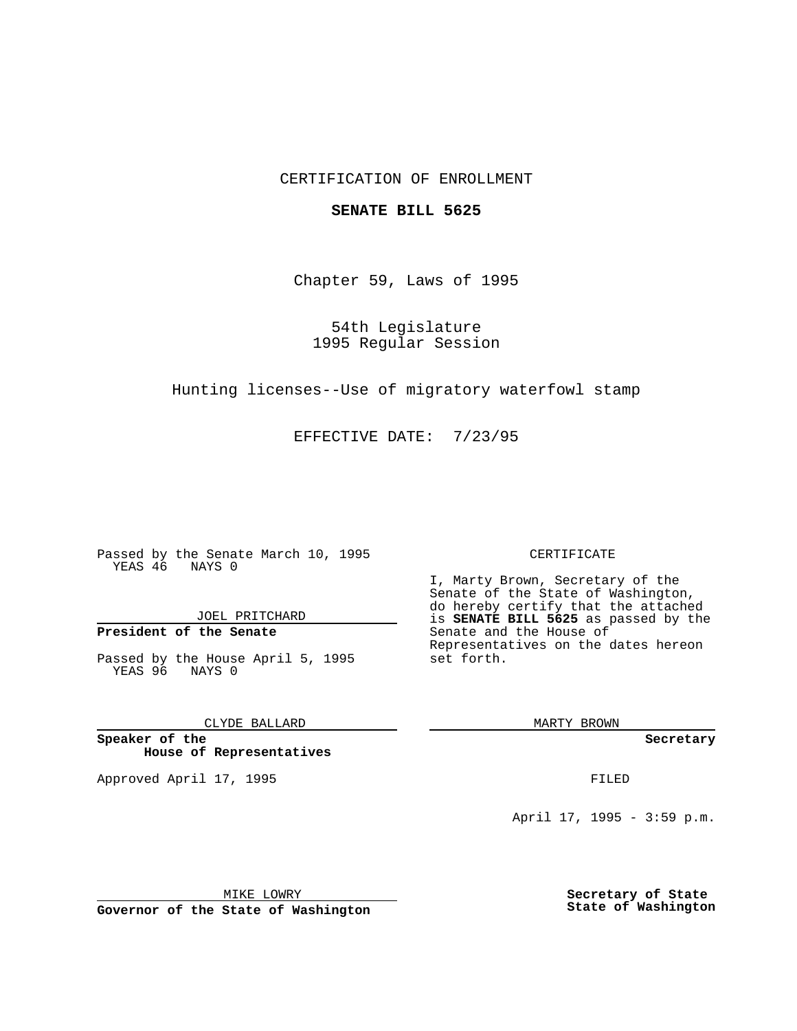### CERTIFICATION OF ENROLLMENT

#### **SENATE BILL 5625**

Chapter 59, Laws of 1995

54th Legislature 1995 Regular Session

Hunting licenses--Use of migratory waterfowl stamp

EFFECTIVE DATE: 7/23/95

Passed by the Senate March 10, 1995 YEAS 46 NAYS 0

JOEL PRITCHARD

# **President of the Senate**

Passed by the House April 5, 1995 YEAS 96 NAYS 0

CLYDE BALLARD

**Speaker of the House of Representatives**

Approved April 17, 1995 **FILED** 

#### CERTIFICATE

I, Marty Brown, Secretary of the Senate of the State of Washington, do hereby certify that the attached is **SENATE BILL 5625** as passed by the Senate and the House of Representatives on the dates hereon set forth.

MARTY BROWN

**Secretary**

April 17, 1995 - 3:59 p.m.

MIKE LOWRY

**Governor of the State of Washington**

**Secretary of State State of Washington**